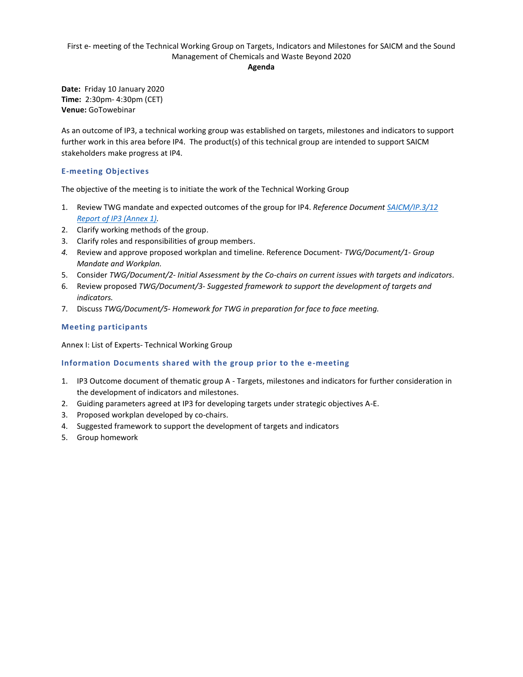### First e- meeting of the Technical Working Group on Targets, Indicators and Milestones for SAICM and the Sound Management of Chemicals and Waste Beyond 2020

#### **Agenda**

**Date:** Friday 10 January 2020 **Time:** 2:30pm- 4:30pm (CET) **Venue:** GoTowebinar

As an outcome of IP3, a technical working group was established on targets, milestones and indicators to support further work in this area before IP4. The product(s) of this technical group are intended to support SAICM stakeholders make progress at IP4.

### **E-meeting Objectives**

The objective of the meeting is to initiate the work of the Technical Working Group

- 1. Review TWG mandate and expected outcomes of the group for IP4. *Reference Document [SAICM/IP.3/12](http://saicm.org/Portals/12/documents/meetings/IP3/Docs/SAICM_IP3_12_Meeting_Report.pdf)  [Report of IP3 \(Annex 1\).](http://saicm.org/Portals/12/documents/meetings/IP3/Docs/SAICM_IP3_12_Meeting_Report.pdf)*
- 2. Clarify working methods of the group.
- 3. Clarify roles and responsibilities of group members.
- *4.* Review and approve proposed workplan and timeline. Reference Document- *TWG/Document/1- Group Mandate and Workplan.*
- 5. Consider *TWG/Document/2- Initial Assessment by the Co-chairs on current issues with targets and indicators.*
- 6. Review proposed *TWG/Document/3- Suggested framework to support the development of targets and indicators.*
- 7. Discuss *TWG/Document/5- Homework for TWG in preparation for face to face meeting.*

# **Meeting participants**

Annex I: List of Experts- Technical Working Group

### **Information Documents shared with the group prior to the e-meeting**

- 1. IP3 Outcome document of thematic group A Targets, milestones and indicators for further consideration in the development of indicators and milestones.
- 2. Guiding parameters agreed at IP3 for developing targets under strategic objectives A-E.
- 3. Proposed workplan developed by co-chairs.
- 4. Suggested framework to support the development of targets and indicators
- 5. Group homework